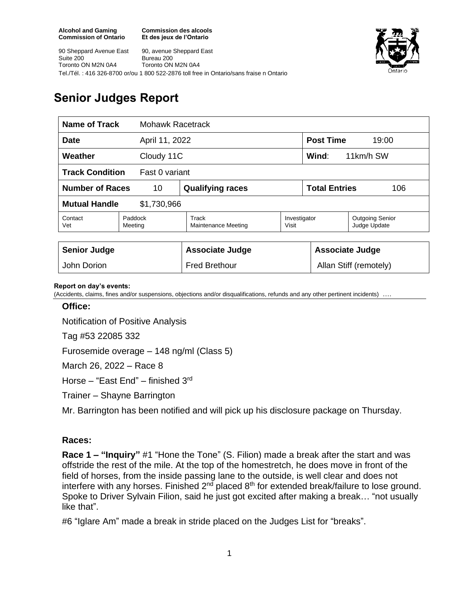**Commission des alcools Et des jeux de l'Ontario**



90 Sheppard Avenue East Suite 200 Toronto ON M2N 0A4 90, avenue Sheppard East Bureau 200 Toronto ON M2N 0A4 Tel./Tél. : 416 326-8700 or/ou 1 800 522-2876 toll free in Ontario/sans fraise n Ontario

# **Senior Judges Report**

| <b>Name of Track</b>                     |                    | <b>Mohawk Racetrack</b>      |                       |                             |                                        |
|------------------------------------------|--------------------|------------------------------|-----------------------|-----------------------------|----------------------------------------|
| <b>Date</b><br>April 11, 2022            |                    |                              |                       | <b>Post Time</b><br>19:00   |                                        |
| Weather<br>Cloudy 11C                    |                    |                              |                       | Wind:<br>11km/h SW          |                                        |
| <b>Track Condition</b><br>Fast 0 variant |                    |                              |                       |                             |                                        |
| <b>Number of Races</b><br>10             |                    | <b>Qualifying races</b>      |                       | <b>Total Entries</b><br>106 |                                        |
| <b>Mutual Handle</b><br>\$1,730,966      |                    |                              |                       |                             |                                        |
| Contact<br>Vet                           | Paddock<br>Meeting | Track<br>Maintenance Meeting | Investigator<br>Visit |                             | <b>Outgoing Senior</b><br>Judge Update |
|                                          |                    |                              |                       |                             |                                        |
| <b>Senior Judge</b>                      |                    | <b>Associate Judge</b>       |                       | <b>Associate Judge</b>      |                                        |
| John Dorion                              |                    | <b>Fred Brethour</b>         |                       | Allan Stiff (remotely)      |                                        |

#### **Report on day's events:**

(Accidents, claims, fines and/or suspensions, objections and/or disqualifications, refunds and any other pertinent incidents) ….

#### **Office:**

Notification of Positive Analysis

Tag #53 22085 332

Furosemide overage – 148 ng/ml (Class 5)

March 26, 2022 – Race 8

Horse - "East End" - finished 3<sup>rd</sup>

Trainer – Shayne Barrington

Mr. Barrington has been notified and will pick up his disclosure package on Thursday.

### **Races:**

**Race 1 – "Inquiry"** #1 "Hone the Tone" (S. Filion) made a break after the start and was offstride the rest of the mile. At the top of the homestretch, he does move in front of the field of horses, from the inside passing lane to the outside, is well clear and does not interfere with any horses. Finished 2<sup>nd</sup> placed 8<sup>th</sup> for extended break/failure to lose ground. Spoke to Driver Sylvain Filion, said he just got excited after making a break… "not usually like that".

#6 "Iglare Am" made a break in stride placed on the Judges List for "breaks".